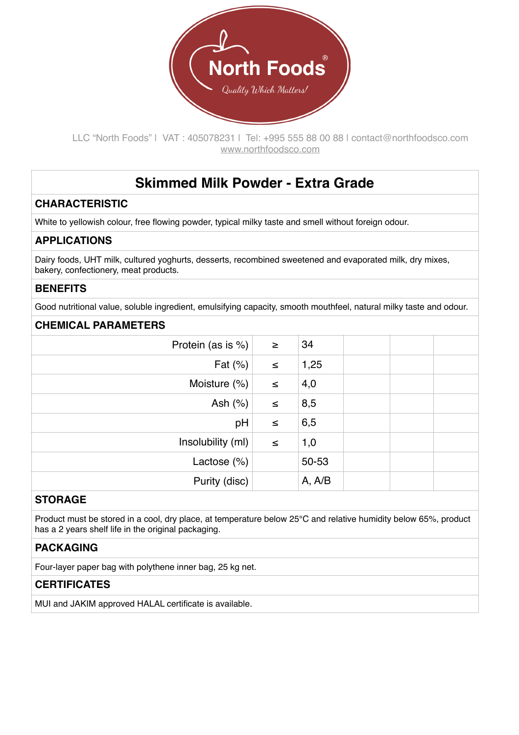

LLC "North Foods" | VAT : 405078231 | Tel: +995 555 88 00 88 | contact@northfoodsco.com [www.northfoodsco.com](http://www.northfoodsco.com)

# **Skimmed Milk Powder - Extra Grade**

# **CHARACTERISTIC**

White to yellowish colour, free flowing powder, typical milky taste and smell without foreign odour.

## **APPLICATIONS**

Dairy foods, UHT milk, cultured yoghurts, desserts, recombined sweetened and evaporated milk, dry mixes, bakery, confectionery, meat products.

# **BENEFITS**

Good nutritional value, soluble ingredient, emulsifying capacity, smooth mouthfeel, natural milky taste and odour.

#### **CHEMICAL PARAMETERS**

| Protein (as is %) | $\geq$ | 34     |  |  |
|-------------------|--------|--------|--|--|
| Fat $(\%)$        | $\leq$ | 1,25   |  |  |
| Moisture (%)      | $\leq$ | 4,0    |  |  |
| Ash $(%)$         | $\leq$ | 8,5    |  |  |
| pH                | $\leq$ | 6,5    |  |  |
| Insolubility (ml) | $\leq$ | 1,0    |  |  |
| Lactose $(\%)$    |        | 50-53  |  |  |
| Purity (disc)     |        | A, A/B |  |  |
|                   |        |        |  |  |

## **STORAGE**

Product must be stored in a cool, dry place, at temperature below 25°C and relative humidity below 65%, product has a 2 years shelf life in the original packaging.

#### **PACKAGING**

Four-layer paper bag with polythene inner bag, 25 kg net.

# **CERTIFICATES**

MUI and JAKIM approved HALAL certificate is available.